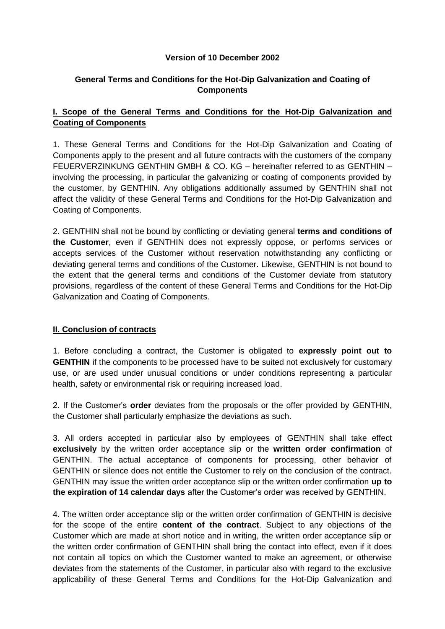#### **Version of 10 December 2002**

# **General Terms and Conditions for the Hot-Dip Galvanization and Coating of Components**

# **I. Scope of the General Terms and Conditions for the Hot-Dip Galvanization and Coating of Components**

1. These General Terms and Conditions for the Hot-Dip Galvanization and Coating of Components apply to the present and all future contracts with the customers of the company FEUERVERZINKUNG GENTHIN GMBH & CO. KG – hereinafter referred to as GENTHIN – involving the processing, in particular the galvanizing or coating of components provided by the customer, by GENTHIN. Any obligations additionally assumed by GENTHIN shall not affect the validity of these General Terms and Conditions for the Hot-Dip Galvanization and Coating of Components.

2. GENTHIN shall not be bound by conflicting or deviating general **terms and conditions of the Customer**, even if GENTHIN does not expressly oppose, or performs services or accepts services of the Customer without reservation notwithstanding any conflicting or deviating general terms and conditions of the Customer. Likewise, GENTHIN is not bound to the extent that the general terms and conditions of the Customer deviate from statutory provisions, regardless of the content of these General Terms and Conditions for the Hot-Dip Galvanization and Coating of Components.

# **II. Conclusion of contracts**

1. Before concluding a contract, the Customer is obligated to **expressly point out to GENTHIN** if the components to be processed have to be suited not exclusively for customary use, or are used under unusual conditions or under conditions representing a particular health, safety or environmental risk or requiring increased load.

2. If the Customer's **order** deviates from the proposals or the offer provided by GENTHIN, the Customer shall particularly emphasize the deviations as such.

3. All orders accepted in particular also by employees of GENTHIN shall take effect **exclusively** by the written order acceptance slip or the **written order confirmation** of GENTHIN. The actual acceptance of components for processing, other behavior of GENTHIN or silence does not entitle the Customer to rely on the conclusion of the contract. GENTHIN may issue the written order acceptance slip or the written order confirmation **up to the expiration of 14 calendar days** after the Customer's order was received by GENTHIN.

4. The written order acceptance slip or the written order confirmation of GENTHIN is decisive for the scope of the entire **content of the contract**. Subject to any objections of the Customer which are made at short notice and in writing, the written order acceptance slip or the written order confirmation of GENTHIN shall bring the contact into effect, even if it does not contain all topics on which the Customer wanted to make an agreement, or otherwise deviates from the statements of the Customer, in particular also with regard to the exclusive applicability of these General Terms and Conditions for the Hot-Dip Galvanization and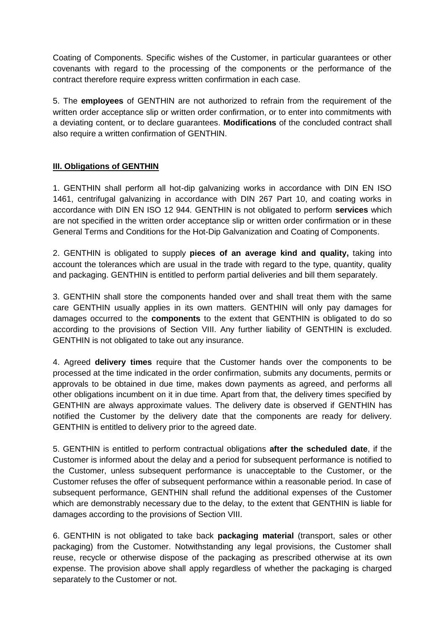Coating of Components. Specific wishes of the Customer, in particular guarantees or other covenants with regard to the processing of the components or the performance of the contract therefore require express written confirmation in each case.

5. The **employees** of GENTHIN are not authorized to refrain from the requirement of the written order acceptance slip or written order confirmation, or to enter into commitments with a deviating content, or to declare guarantees. **Modifications** of the concluded contract shall also require a written confirmation of GENTHIN.

# **III. Obligations of GENTHIN**

1. GENTHIN shall perform all hot-dip galvanizing works in accordance with DIN EN ISO 1461, centrifugal galvanizing in accordance with DIN 267 Part 10, and coating works in accordance with DIN EN ISO 12 944. GENTHIN is not obligated to perform **services** which are not specified in the written order acceptance slip or written order confirmation or in these General Terms and Conditions for the Hot-Dip Galvanization and Coating of Components.

2. GENTHIN is obligated to supply **pieces of an average kind and quality,** taking into account the tolerances which are usual in the trade with regard to the type, quantity, quality and packaging. GENTHIN is entitled to perform partial deliveries and bill them separately.

3. GENTHIN shall store the components handed over and shall treat them with the same care GENTHIN usually applies in its own matters. GENTHIN will only pay damages for damages occurred to the **components** to the extent that GENTHIN is obligated to do so according to the provisions of Section VIII. Any further liability of GENTHIN is excluded. GENTHIN is not obligated to take out any insurance.

4. Agreed **delivery times** require that the Customer hands over the components to be processed at the time indicated in the order confirmation, submits any documents, permits or approvals to be obtained in due time, makes down payments as agreed, and performs all other obligations incumbent on it in due time. Apart from that, the delivery times specified by GENTHIN are always approximate values. The delivery date is observed if GENTHIN has notified the Customer by the delivery date that the components are ready for delivery. GENTHIN is entitled to delivery prior to the agreed date.

5. GENTHIN is entitled to perform contractual obligations **after the scheduled date**, if the Customer is informed about the delay and a period for subsequent performance is notified to the Customer, unless subsequent performance is unacceptable to the Customer, or the Customer refuses the offer of subsequent performance within a reasonable period. In case of subsequent performance, GENTHIN shall refund the additional expenses of the Customer which are demonstrably necessary due to the delay, to the extent that GENTHIN is liable for damages according to the provisions of Section VIII.

6. GENTHIN is not obligated to take back **packaging material** (transport, sales or other packaging) from the Customer. Notwithstanding any legal provisions, the Customer shall reuse, recycle or otherwise dispose of the packaging as prescribed otherwise at its own expense. The provision above shall apply regardless of whether the packaging is charged separately to the Customer or not.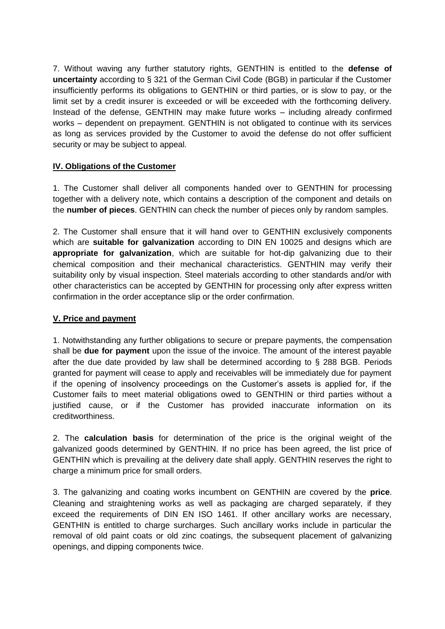7. Without waving any further statutory rights, GENTHIN is entitled to the **defense of uncertainty** according to § 321 of the German Civil Code (BGB) in particular if the Customer insufficiently performs its obligations to GENTHIN or third parties, or is slow to pay, or the limit set by a credit insurer is exceeded or will be exceeded with the forthcoming delivery. Instead of the defense, GENTHIN may make future works – including already confirmed works – dependent on prepayment. GENTHIN is not obligated to continue with its services as long as services provided by the Customer to avoid the defense do not offer sufficient security or may be subject to appeal.

# **IV. Obligations of the Customer**

1. The Customer shall deliver all components handed over to GENTHIN for processing together with a delivery note, which contains a description of the component and details on the **number of pieces**. GENTHIN can check the number of pieces only by random samples.

2. The Customer shall ensure that it will hand over to GENTHIN exclusively components which are **suitable for galvanization** according to DIN EN 10025 and designs which are **appropriate for galvanization**, which are suitable for hot-dip galvanizing due to their chemical composition and their mechanical characteristics. GENTHIN may verify their suitability only by visual inspection. Steel materials according to other standards and/or with other characteristics can be accepted by GENTHIN for processing only after express written confirmation in the order acceptance slip or the order confirmation.

#### **V. Price and payment**

1. Notwithstanding any further obligations to secure or prepare payments, the compensation shall be **due for payment** upon the issue of the invoice. The amount of the interest payable after the due date provided by law shall be determined according to § 288 BGB. Periods granted for payment will cease to apply and receivables will be immediately due for payment if the opening of insolvency proceedings on the Customer's assets is applied for, if the Customer fails to meet material obligations owed to GENTHIN or third parties without a justified cause, or if the Customer has provided inaccurate information on its creditworthiness.

2. The **calculation basis** for determination of the price is the original weight of the galvanized goods determined by GENTHIN. If no price has been agreed, the list price of GENTHIN which is prevailing at the delivery date shall apply. GENTHIN reserves the right to charge a minimum price for small orders.

3. The galvanizing and coating works incumbent on GENTHIN are covered by the **price**. Cleaning and straightening works as well as packaging are charged separately, if they exceed the requirements of DIN EN ISO 1461. If other ancillary works are necessary, GENTHIN is entitled to charge surcharges. Such ancillary works include in particular the removal of old paint coats or old zinc coatings, the subsequent placement of galvanizing openings, and dipping components twice.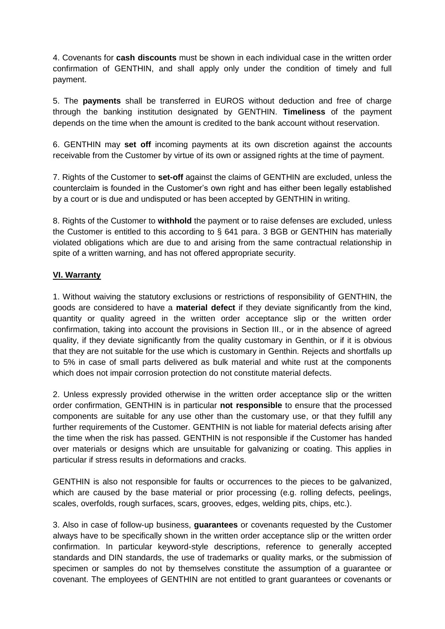4. Covenants for **cash discounts** must be shown in each individual case in the written order confirmation of GENTHIN, and shall apply only under the condition of timely and full payment.

5. The **payments** shall be transferred in EUROS without deduction and free of charge through the banking institution designated by GENTHIN. **Timeliness** of the payment depends on the time when the amount is credited to the bank account without reservation.

6. GENTHIN may **set off** incoming payments at its own discretion against the accounts receivable from the Customer by virtue of its own or assigned rights at the time of payment.

7. Rights of the Customer to **set-off** against the claims of GENTHIN are excluded, unless the counterclaim is founded in the Customer's own right and has either been legally established by a court or is due and undisputed or has been accepted by GENTHIN in writing.

8. Rights of the Customer to **withhold** the payment or to raise defenses are excluded, unless the Customer is entitled to this according to § 641 para. 3 BGB or GENTHIN has materially violated obligations which are due to and arising from the same contractual relationship in spite of a written warning, and has not offered appropriate security.

# **VI. Warranty**

1. Without waiving the statutory exclusions or restrictions of responsibility of GENTHIN, the goods are considered to have a **material defect** if they deviate significantly from the kind, quantity or quality agreed in the written order acceptance slip or the written order confirmation, taking into account the provisions in Section III., or in the absence of agreed quality, if they deviate significantly from the quality customary in Genthin, or if it is obvious that they are not suitable for the use which is customary in Genthin. Rejects and shortfalls up to 5% in case of small parts delivered as bulk material and white rust at the components which does not impair corrosion protection do not constitute material defects.

2. Unless expressly provided otherwise in the written order acceptance slip or the written order confirmation, GENTHIN is in particular **not responsible** to ensure that the processed components are suitable for any use other than the customary use, or that they fulfill any further requirements of the Customer. GENTHIN is not liable for material defects arising after the time when the risk has passed. GENTHIN is not responsible if the Customer has handed over materials or designs which are unsuitable for galvanizing or coating. This applies in particular if stress results in deformations and cracks.

GENTHIN is also not responsible for faults or occurrences to the pieces to be galvanized, which are caused by the base material or prior processing (e.g. rolling defects, peelings, scales, overfolds, rough surfaces, scars, grooves, edges, welding pits, chips, etc.).

3. Also in case of follow-up business, **guarantees** or covenants requested by the Customer always have to be specifically shown in the written order acceptance slip or the written order confirmation. In particular keyword-style descriptions, reference to generally accepted standards and DIN standards, the use of trademarks or quality marks, or the submission of specimen or samples do not by themselves constitute the assumption of a guarantee or covenant. The employees of GENTHIN are not entitled to grant guarantees or covenants or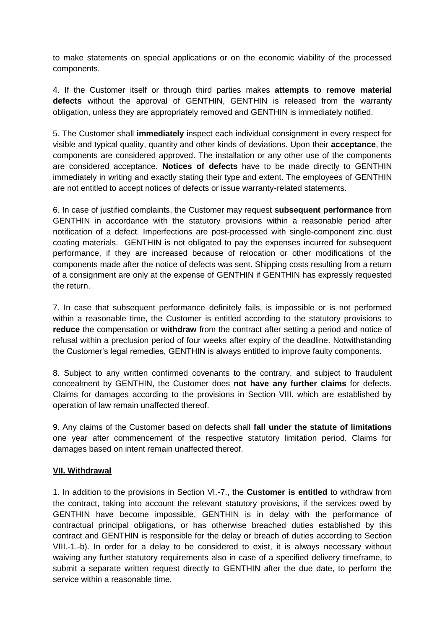to make statements on special applications or on the economic viability of the processed components.

4. If the Customer itself or through third parties makes **attempts to remove material defects** without the approval of GENTHIN, GENTHIN is released from the warranty obligation, unless they are appropriately removed and GENTHIN is immediately notified.

5. The Customer shall **immediately** inspect each individual consignment in every respect for visible and typical quality, quantity and other kinds of deviations. Upon their **acceptance**, the components are considered approved. The installation or any other use of the components are considered acceptance. **Notices of defects** have to be made directly to GENTHIN immediately in writing and exactly stating their type and extent. The employees of GENTHIN are not entitled to accept notices of defects or issue warranty-related statements.

6. In case of justified complaints, the Customer may request **subsequent performance** from GENTHIN in accordance with the statutory provisions within a reasonable period after notification of a defect. Imperfections are post-processed with single-component zinc dust coating materials. GENTHIN is not obligated to pay the expenses incurred for subsequent performance, if they are increased because of relocation or other modifications of the components made after the notice of defects was sent. Shipping costs resulting from a return of a consignment are only at the expense of GENTHIN if GENTHIN has expressly requested the return.

7. In case that subsequent performance definitely fails, is impossible or is not performed within a reasonable time, the Customer is entitled according to the statutory provisions to **reduce** the compensation or **withdraw** from the contract after setting a period and notice of refusal within a preclusion period of four weeks after expiry of the deadline. Notwithstanding the Customer's legal remedies, GENTHIN is always entitled to improve faulty components.

8. Subject to any written confirmed covenants to the contrary, and subject to fraudulent concealment by GENTHIN, the Customer does **not have any further claims** for defects. Claims for damages according to the provisions in Section VIII. which are established by operation of law remain unaffected thereof.

9. Any claims of the Customer based on defects shall **fall under the statute of limitations** one year after commencement of the respective statutory limitation period. Claims for damages based on intent remain unaffected thereof.

#### **VII. Withdrawal**

1. In addition to the provisions in Section VI.-7., the **Customer is entitled** to withdraw from the contract, taking into account the relevant statutory provisions, if the services owed by GENTHIN have become impossible, GENTHIN is in delay with the performance of contractual principal obligations, or has otherwise breached duties established by this contract and GENTHIN is responsible for the delay or breach of duties according to Section VIII.-1.-b). In order for a delay to be considered to exist, it is always necessary without waiving any further statutory requirements also in case of a specified delivery timeframe, to submit a separate written request directly to GENTHIN after the due date, to perform the service within a reasonable time.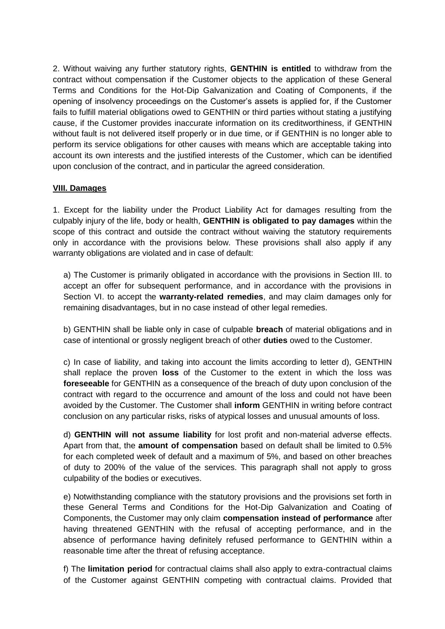2. Without waiving any further statutory rights, **GENTHIN is entitled** to withdraw from the contract without compensation if the Customer objects to the application of these General Terms and Conditions for the Hot-Dip Galvanization and Coating of Components, if the opening of insolvency proceedings on the Customer's assets is applied for, if the Customer fails to fulfill material obligations owed to GENTHIN or third parties without stating a justifying cause, if the Customer provides inaccurate information on its creditworthiness, if GENTHIN without fault is not delivered itself properly or in due time, or if GENTHIN is no longer able to perform its service obligations for other causes with means which are acceptable taking into account its own interests and the justified interests of the Customer, which can be identified upon conclusion of the contract, and in particular the agreed consideration.

#### **VIII. Damages**

1. Except for the liability under the Product Liability Act for damages resulting from the culpably injury of the life, body or health, **GENTHIN is obligated to pay damages** within the scope of this contract and outside the contract without waiving the statutory requirements only in accordance with the provisions below. These provisions shall also apply if any warranty obligations are violated and in case of default:

a) The Customer is primarily obligated in accordance with the provisions in Section III. to accept an offer for subsequent performance, and in accordance with the provisions in Section VI. to accept the **warranty-related remedies**, and may claim damages only for remaining disadvantages, but in no case instead of other legal remedies.

b) GENTHIN shall be liable only in case of culpable **breach** of material obligations and in case of intentional or grossly negligent breach of other **duties** owed to the Customer.

c) In case of liability, and taking into account the limits according to letter d), GENTHIN shall replace the proven **loss** of the Customer to the extent in which the loss was **foreseeable** for GENTHIN as a consequence of the breach of duty upon conclusion of the contract with regard to the occurrence and amount of the loss and could not have been avoided by the Customer. The Customer shall **inform** GENTHIN in writing before contract conclusion on any particular risks, risks of atypical losses and unusual amounts of loss.

d) **GENTHIN will not assume liability** for lost profit and non-material adverse effects. Apart from that, the **amount of compensation** based on default shall be limited to 0.5% for each completed week of default and a maximum of 5%, and based on other breaches of duty to 200% of the value of the services. This paragraph shall not apply to gross culpability of the bodies or executives.

e) Notwithstanding compliance with the statutory provisions and the provisions set forth in these General Terms and Conditions for the Hot-Dip Galvanization and Coating of Components, the Customer may only claim **compensation instead of performance** after having threatened GENTHIN with the refusal of accepting performance, and in the absence of performance having definitely refused performance to GENTHIN within a reasonable time after the threat of refusing acceptance.

f) The **limitation period** for contractual claims shall also apply to extra-contractual claims of the Customer against GENTHIN competing with contractual claims. Provided that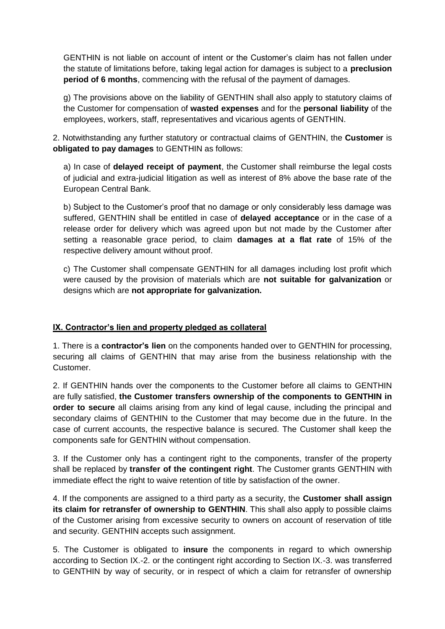GENTHIN is not liable on account of intent or the Customer's claim has not fallen under the statute of limitations before, taking legal action for damages is subject to a **preclusion period of 6 months**, commencing with the refusal of the payment of damages.

g) The provisions above on the liability of GENTHIN shall also apply to statutory claims of the Customer for compensation of **wasted expenses** and for the **personal liability** of the employees, workers, staff, representatives and vicarious agents of GENTHIN.

2. Notwithstanding any further statutory or contractual claims of GENTHIN, the **Customer** is **obligated to pay damages** to GENTHIN as follows:

a) In case of **delayed receipt of payment**, the Customer shall reimburse the legal costs of judicial and extra-judicial litigation as well as interest of 8% above the base rate of the European Central Bank.

b) Subject to the Customer's proof that no damage or only considerably less damage was suffered, GENTHIN shall be entitled in case of **delayed acceptance** or in the case of a release order for delivery which was agreed upon but not made by the Customer after setting a reasonable grace period, to claim **damages at a flat rate** of 15% of the respective delivery amount without proof.

c) The Customer shall compensate GENTHIN for all damages including lost profit which were caused by the provision of materials which are **not suitable for galvanization** or designs which are **not appropriate for galvanization.**

# **IX. Contractor's lien and property pledged as collateral**

1. There is a **contractor's lien** on the components handed over to GENTHIN for processing, securing all claims of GENTHIN that may arise from the business relationship with the Customer.

2. If GENTHIN hands over the components to the Customer before all claims to GENTHIN are fully satisfied, **the Customer transfers ownership of the components to GENTHIN in order to secure** all claims arising from any kind of legal cause, including the principal and secondary claims of GENTHIN to the Customer that may become due in the future. In the case of current accounts, the respective balance is secured. The Customer shall keep the components safe for GENTHIN without compensation.

3. If the Customer only has a contingent right to the components, transfer of the property shall be replaced by **transfer of the contingent right**. The Customer grants GENTHIN with immediate effect the right to waive retention of title by satisfaction of the owner.

4. If the components are assigned to a third party as a security, the **Customer shall assign its claim for retransfer of ownership to GENTHIN**. This shall also apply to possible claims of the Customer arising from excessive security to owners on account of reservation of title and security. GENTHIN accepts such assignment.

5. The Customer is obligated to **insure** the components in regard to which ownership according to Section IX.-2. or the contingent right according to Section IX.-3. was transferred to GENTHIN by way of security, or in respect of which a claim for retransfer of ownership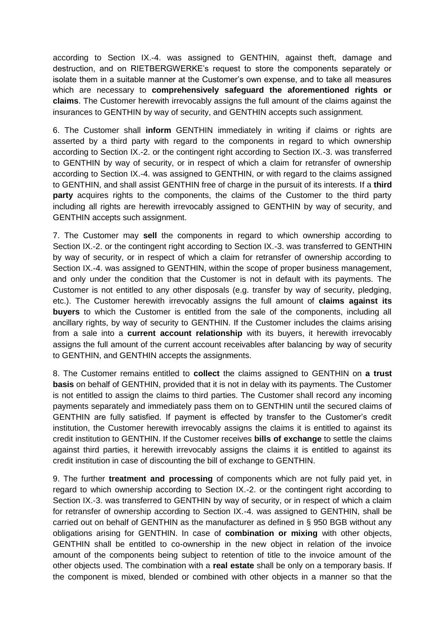according to Section IX.-4. was assigned to GENTHIN, against theft, damage and destruction, and on RIETBERGWERKE's request to store the components separately or isolate them in a suitable manner at the Customer's own expense, and to take all measures which are necessary to **comprehensively safeguard the aforementioned rights or claims**. The Customer herewith irrevocably assigns the full amount of the claims against the insurances to GENTHIN by way of security, and GENTHIN accepts such assignment.

6. The Customer shall **inform** GENTHIN immediately in writing if claims or rights are asserted by a third party with regard to the components in regard to which ownership according to Section IX.-2. or the contingent right according to Section IX.-3. was transferred to GENTHIN by way of security, or in respect of which a claim for retransfer of ownership according to Section IX.-4. was assigned to GENTHIN, or with regard to the claims assigned to GENTHIN, and shall assist GENTHIN free of charge in the pursuit of its interests. If a **third party** acquires rights to the components, the claims of the Customer to the third party including all rights are herewith irrevocably assigned to GENTHIN by way of security, and GENTHIN accepts such assignment.

7. The Customer may **sell** the components in regard to which ownership according to Section IX.-2. or the contingent right according to Section IX.-3. was transferred to GENTHIN by way of security, or in respect of which a claim for retransfer of ownership according to Section IX.-4. was assigned to GENTHIN, within the scope of proper business management, and only under the condition that the Customer is not in default with its payments. The Customer is not entitled to any other disposals (e.g. transfer by way of security, pledging, etc.). The Customer herewith irrevocably assigns the full amount of **claims against its buyers** to which the Customer is entitled from the sale of the components, including all ancillary rights, by way of security to GENTHIN. If the Customer includes the claims arising from a sale into a **current account relationship** with its buyers, it herewith irrevocably assigns the full amount of the current account receivables after balancing by way of security to GENTHIN, and GENTHIN accepts the assignments.

8. The Customer remains entitled to **collect** the claims assigned to GENTHIN on **a trust basis** on behalf of GENTHIN, provided that it is not in delay with its payments. The Customer is not entitled to assign the claims to third parties. The Customer shall record any incoming payments separately and immediately pass them on to GENTHIN until the secured claims of GENTHIN are fully satisfied. If payment is effected by transfer to the Customer's credit institution, the Customer herewith irrevocably assigns the claims it is entitled to against its credit institution to GENTHIN. If the Customer receives **bills of exchange** to settle the claims against third parties, it herewith irrevocably assigns the claims it is entitled to against its credit institution in case of discounting the bill of exchange to GENTHIN.

9. The further **treatment and processing** of components which are not fully paid yet, in regard to which ownership according to Section IX.-2. or the contingent right according to Section IX.-3. was transferred to GENTHIN by way of security, or in respect of which a claim for retransfer of ownership according to Section IX.-4. was assigned to GENTHIN, shall be carried out on behalf of GENTHIN as the manufacturer as defined in § 950 BGB without any obligations arising for GENTHIN. In case of **combination or mixing** with other objects, GENTHIN shall be entitled to co-ownership in the new object in relation of the invoice amount of the components being subject to retention of title to the invoice amount of the other objects used. The combination with a **real estate** shall be only on a temporary basis. If the component is mixed, blended or combined with other objects in a manner so that the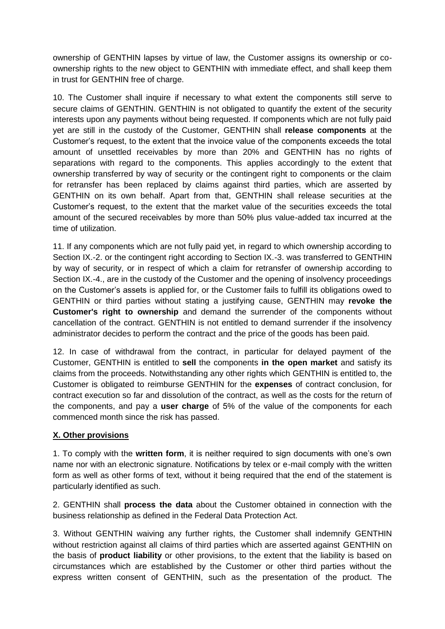ownership of GENTHIN lapses by virtue of law, the Customer assigns its ownership or coownership rights to the new object to GENTHIN with immediate effect, and shall keep them in trust for GENTHIN free of charge.

10. The Customer shall inquire if necessary to what extent the components still serve to secure claims of GENTHIN. GENTHIN is not obligated to quantify the extent of the security interests upon any payments without being requested. If components which are not fully paid yet are still in the custody of the Customer, GENTHIN shall **release components** at the Customer's request, to the extent that the invoice value of the components exceeds the total amount of unsettled receivables by more than 20% and GENTHIN has no rights of separations with regard to the components. This applies accordingly to the extent that ownership transferred by way of security or the contingent right to components or the claim for retransfer has been replaced by claims against third parties, which are asserted by GENTHIN on its own behalf. Apart from that, GENTHIN shall release securities at the Customer's request, to the extent that the market value of the securities exceeds the total amount of the secured receivables by more than 50% plus value-added tax incurred at the time of utilization.

11. If any components which are not fully paid yet, in regard to which ownership according to Section IX.-2. or the contingent right according to Section IX.-3. was transferred to GENTHIN by way of security, or in respect of which a claim for retransfer of ownership according to Section IX.-4., are in the custody of the Customer and the opening of insolvency proceedings on the Customer's assets is applied for, or the Customer fails to fulfill its obligations owed to GENTHIN or third parties without stating a justifying cause, GENTHIN may **revoke the Customer's right to ownership** and demand the surrender of the components without cancellation of the contract. GENTHIN is not entitled to demand surrender if the insolvency administrator decides to perform the contract and the price of the goods has been paid.

12. In case of withdrawal from the contract, in particular for delayed payment of the Customer, GENTHIN is entitled to **sell** the components **in the open market** and satisfy its claims from the proceeds. Notwithstanding any other rights which GENTHIN is entitled to, the Customer is obligated to reimburse GENTHIN for the **expenses** of contract conclusion, for contract execution so far and dissolution of the contract, as well as the costs for the return of the components, and pay a **user charge** of 5% of the value of the components for each commenced month since the risk has passed.

# **X. Other provisions**

1. To comply with the **written form**, it is neither required to sign documents with one's own name nor with an electronic signature. Notifications by telex or e-mail comply with the written form as well as other forms of text, without it being required that the end of the statement is particularly identified as such.

2. GENTHIN shall **process the data** about the Customer obtained in connection with the business relationship as defined in the Federal Data Protection Act.

3. Without GENTHIN waiving any further rights, the Customer shall indemnify GENTHIN without restriction against all claims of third parties which are asserted against GENTHIN on the basis of **product liability** or other provisions, to the extent that the liability is based on circumstances which are established by the Customer or other third parties without the express written consent of GENTHIN, such as the presentation of the product. The